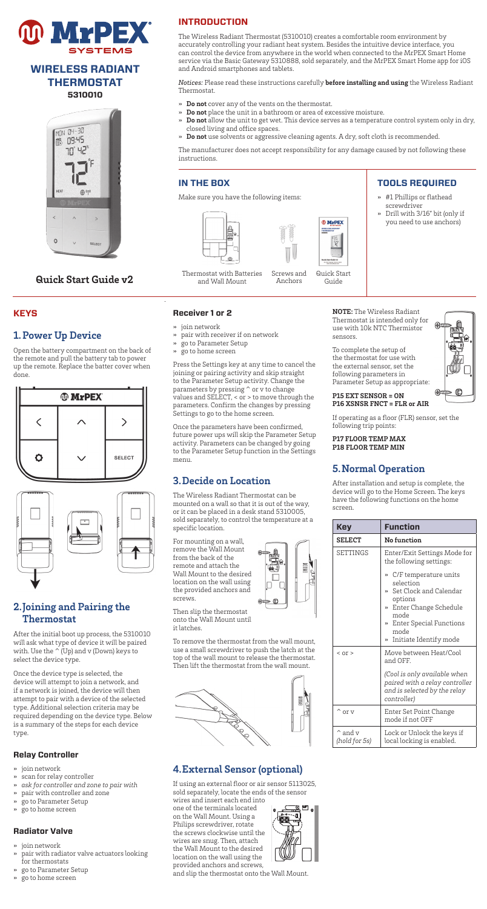

# **WIRELESS RADIANT THERMOSTAT 5310010**



# **Quick Start Guide v2**

### **KEYS**

# **1.Power Up Device**

Open the battery compartment on the back of the remote and pull the battery tab to power up the remote. Replace the batter cover when done.





# **2.Joining and Pairing the Thermostat**

After the initial boot up process, the 5310010 will ask what type of device it will be paired with. Use the  $\sim$  (Up) and v (Down) keys to select the device type.

Once the device type is selected, the device will attempt to join a network, and if a network is joined, the device will then attempt to pair with a device of the selected type. Additional selection criteria may be required depending on the device type. Below is a summary of the steps for each device type.

#### **Relay Controller**

- join network
- » scan for relay controller
- » *ask for controller and zone to pair with*  » pair with controller and zone
- » go to Parameter Setup
- » go to home screen

#### **Radiator Valve**

- join network
- » pair with radiator valve actuators looking for thermostats
- » go to Parameter Setup » go to home screen

# **INTRODUCTION**

The Wireless Radiant Thermostat (5310010) creates a comfortable room environment by accurately controlling your radiant heat system. Besides the intuitive device interface, you can control the device from anywhere in the world when connected to the MrPEX Smart Home service via the Basic Gateway 5310888, sold separately, and the MrPEX Smart Home app for iOS and Android smartphones and tablets.

*Notices:* Please read these instructions carefully **before installing and using** the Wireless Radiant Thermostat.

- » **Do not** cover any of the vents on the thermostat.
- » **Do not** place the unit in a bathroom or area of excessive moisture.
- » **Do not** allow the unit to get wet. This device serves as a temperature control system only in dry, closed living and office spaces.
	- » **Do not** use solvents or aggressive cleaning agents. A dry, soft cloth is recommended.

The manufacturer does not accept responsibility for any damage caused by not following these instructions.

#### **IN THE BOX**

**Receiver 1 or 2** join network

menu.

specific location.

screws.

For mounting on a wall, remove the Wall Mount from the back of the remote and attach the Wall Mount to the desired location on the wall using the provided anchors and

Make sure you have the following items:





# **TOOLS REQUIRED**

- » #1 Phillips or flathead screwdriver
- » Drill with 3/16" bit (only if you need to use anchors)

Thermostat with Batteries and Wall Mount

» pair with receiver if on network » go to Parameter Setup » go to home screen

Settings to go to the home screen.

**3.Decide on Location**  The Wireless Radiant Thermostat can be mounted on a wall so that it is out of the way, or it can be placed in a desk stand 5310005, sold separately, to control the temperature at a

Once the parameters have been confirmed, future power ups will skip the Parameter Setup activity. Parameters can be changed by going to the Parameter Setup function in the Settings

Press the Settings key at any time to cancel the joining or pairing activity and skip straight to the Parameter Setup activity. Change the parameters by pressing ^ or v to change values and SELECT, < or > to move through the parameters. Confirm the changes by pressing

Screws and Anchors Guide



To complete the setup of the thermostat for use with the external sensor, set the following parameters in Parameter Setup as appropriate:

**P15 EXT SENSOR = ON P16 XSNSR FNCT = FLR or AIR** 

If operating as a floor (FLR) sensor, set the following trip points:

#### **P17 FLOOR TEMP MAX P18 FLOOR TEMP MIN**

# **5.Normal Operation**

After installation and setup is complete, the device will go to the Home Screen. The keys have the following functions on the home screen.

| Key                                | <b>Function</b>                                                                                                                                                                 |
|------------------------------------|---------------------------------------------------------------------------------------------------------------------------------------------------------------------------------|
| <b>SELECT</b>                      | No function                                                                                                                                                                     |
| <b>SETTINGS</b>                    | Enter/Exit Settings Mode for<br>the following settings:                                                                                                                         |
|                                    | » C/F temperature units<br>selection<br>» Set Clock and Calendar<br>options<br>» Enter Change Schedule<br>mode<br>» Enter Special Functions<br>mode<br>» Initiate Identify mode |
| $<$ or $>$                         | Move between Heat/Cool<br>and OFF.                                                                                                                                              |
|                                    | (Cool is only available when<br>paired with a relay controller<br>and is selected by the relay<br>controller)                                                                   |
| $\hat{ }$ or $\mathrm{v}$          | Enter Set Point Change<br>mode if not OFF                                                                                                                                       |
| $^{\wedge}$ and v<br>(hold for 5s) | Lock or Unlock the keys if<br>local locking is enabled.                                                                                                                         |

Then slip the thermostat onto the Wall Mount until it latches.

To remove the thermostat from the wall mount, use a small screwdriver to push the latch at the top of the wall mount to release the thermostat. Then lift the thermostat from the wall mount.

Ш

 $\circledR$ 

# 1000  $\overline{\mathcal{Q}}$  $\sum_{i=1}^{N}$

# **4.External Sensor (optional)**

If using an external floor or air sensor 5113025, sold separately, locate the ends of the sensor

wires and insert each end into one of the terminals located on the Wall Mount. Using a Philips screwdriver, rotate the screws clockwise until the wires are snug. Then, attach the Wall Mount to the desired location on the wall using the provided anchors and screws,



and slip the thermostat onto the Wall Mount.